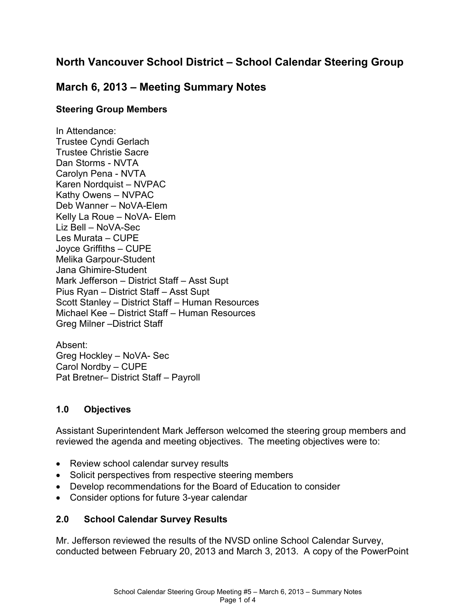# **North Vancouver School District – School Calendar Steering Group**

## **March 6, 2013 – Meeting Summary Notes**

### **Steering Group Members**

In Attendance: Trustee Cyndi Gerlach Trustee Christie Sacre Dan Storms - NVTA Carolyn Pena - NVTA Karen Nordquist – NVPAC Kathy Owens – NVPAC Deb Wanner – NoVA-Elem Kelly La Roue – NoVA- Elem Liz Bell – NoVA-Sec Les Murata – CUPE Joyce Griffiths – CUPE Melika Garpour-Student Jana Ghimire-Student Mark Jefferson – District Staff – Asst Supt Pius Ryan – District Staff – Asst Supt Scott Stanley – District Staff – Human Resources Michael Kee – District Staff – Human Resources Greg Milner –District Staff

Absent: Greg Hockley – NoVA- Sec Carol Nordby – CUPE Pat Bretner– District Staff – Payroll

### **1.0 Objectives**

Assistant Superintendent Mark Jefferson welcomed the steering group members and reviewed the agenda and meeting objectives. The meeting objectives were to:

- Review school calendar survey results
- Solicit perspectives from respective steering members
- Develop recommendations for the Board of Education to consider
- Consider options for future 3-year calendar

### **2.0 School Calendar Survey Results**

Mr. Jefferson reviewed the results of the NVSD online School Calendar Survey, conducted between February 20, 2013 and March 3, 2013. A copy of the PowerPoint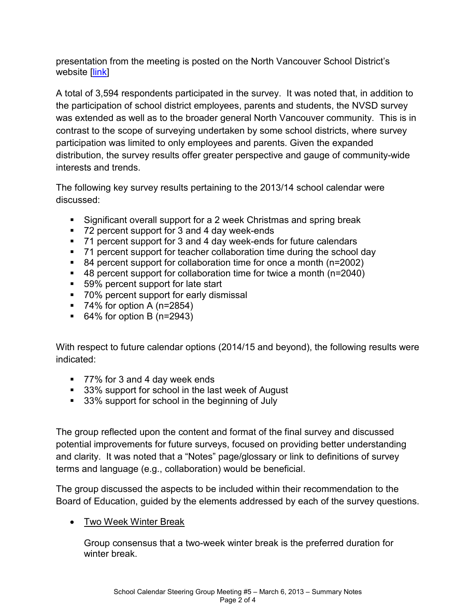presentation from the meeting is posted on the North Vancouver School District's website [\[link\]](http://www.nvsd44.bc.ca/~/media/4B15D6B38F0B42A48CE2DD29FC097CFC.ashx)

A total of 3,594 respondents participated in the survey. It was noted that, in addition to the participation of school district employees, parents and students, the NVSD survey was extended as well as to the broader general North Vancouver community. This is in contrast to the scope of surveying undertaken by some school districts, where survey participation was limited to only employees and parents. Given the expanded distribution, the survey results offer greater perspective and gauge of community-wide interests and trends.

The following key survey results pertaining to the 2013/14 school calendar were discussed:

- Significant overall support for a 2 week Christmas and spring break
- 72 percent support for 3 and 4 day week-ends
- 71 percent support for 3 and 4 day week-ends for future calendars
- 71 percent support for teacher collaboration time during the school day
- 84 percent support for collaboration time for once a month (n=2002)
- 48 percent support for collaboration time for twice a month (n=2040)
- 59% percent support for late start
- 70% percent support for early dismissal
- $\blacksquare$  74% for option A (n=2854)
- $\bullet$  64% for option B (n=2943)

With respect to future calendar options (2014/15 and beyond), the following results were indicated:

- 77% for 3 and 4 day week ends
- 33% support for school in the last week of August
- 33% support for school in the beginning of July

The group reflected upon the content and format of the final survey and discussed potential improvements for future surveys, focused on providing better understanding and clarity. It was noted that a "Notes" page/glossary or link to definitions of survey terms and language (e.g., collaboration) would be beneficial.

The group discussed the aspects to be included within their recommendation to the Board of Education, guided by the elements addressed by each of the survey questions.

• Two Week Winter Break

Group consensus that a two-week winter break is the preferred duration for winter break.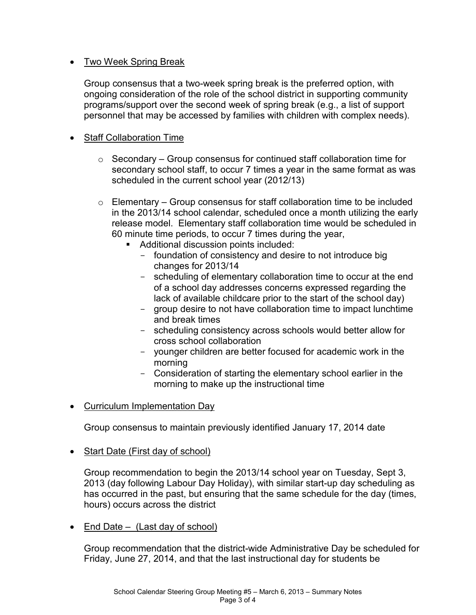### • Two Week Spring Break

Group consensus that a two-week spring break is the preferred option, with ongoing consideration of the role of the school district in supporting community programs/support over the second week of spring break (e.g., a list of support personnel that may be accessed by families with children with complex needs).

### • Staff Collaboration Time

- $\circ$  Secondary Group consensus for continued staff collaboration time for secondary school staff, to occur 7 times a year in the same format as was scheduled in the current school year (2012/13)
- $\circ$  Elementary Group consensus for staff collaboration time to be included in the 2013/14 school calendar, scheduled once a month utilizing the early release model. Elementary staff collaboration time would be scheduled in 60 minute time periods, to occur 7 times during the year,
	- Additional discussion points included:
		- foundation of consistency and desire to not introduce big changes for 2013/14
		- scheduling of elementary collaboration time to occur at the end of a school day addresses concerns expressed regarding the lack of available childcare prior to the start of the school day)
		- group desire to not have collaboration time to impact lunchtime and break times
		- scheduling consistency across schools would better allow for cross school collaboration
		- younger children are better focused for academic work in the morning
		- Consideration of starting the elementary school earlier in the morning to make up the instructional time
- Curriculum Implementation Day

Group consensus to maintain previously identified January 17, 2014 date

• Start Date (First day of school)

Group recommendation to begin the 2013/14 school year on Tuesday, Sept 3, 2013 (day following Labour Day Holiday), with similar start-up day scheduling as has occurred in the past, but ensuring that the same schedule for the day (times, hours) occurs across the district

• End Date  $-$  (Last day of school)

Group recommendation that the district-wide Administrative Day be scheduled for Friday, June 27, 2014, and that the last instructional day for students be